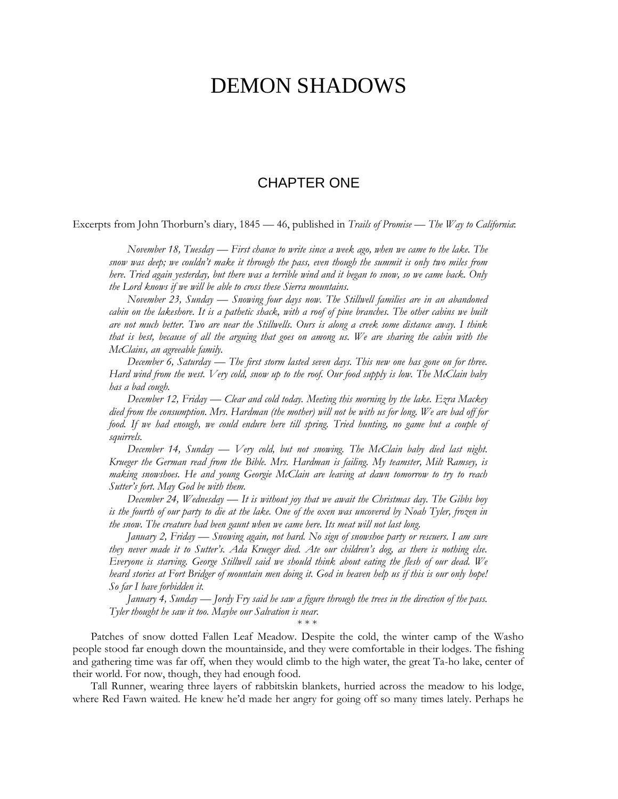## DEMON SHADOWS

## CHAPTER ONE

Excerpts from John Thorburn's diary, 1845 — 46, published in *Trails of Promise — The Way to California*:

*November 18, Tuesday — First chance to write since a week ago, when we came to the lake. The snow was deep; we couldn't make it through the pass, even though the summit is only two miles from here. Tried again yesterday, but there was a terrible wind and it began to snow, so we came back. Only the Lord knows if we will be able to cross these Sierra mountains.*

*November 23, Sunday — Snowing four days now. The Stillwell families are in an abandoned*  cabin on the lakeshore. It is a pathetic shack, with a roof of pine branches. The other cabins we built *are not much better. Two are near the Stillwells. Ours is along a creek some distance away. I think that is best, because of all the arguing that goes on among us. We are sharing the cabin with the McClains, an agreeable family.*

*December 6, Saturday — The first storm lasted seven days. This new one has gone on for three. Hard wind from the west. Very cold, snow up to the roof. Our food supply is low. The McClain baby has a bad cough.*

*December 12, Friday — Clear and cold today. Meeting this morning by the lake. Ezra Mackey died from the consumption. Mrs. Hardman (the mother) will not be with us for long. We are bad off for food. If we had enough, we could endure here till spring. Tried hunting, no game but a couple of squirrels.*

*December 14, Sunday — Very cold, but not snowing. The McClain baby died last night. Krueger the German read from the Bible. Mrs. Hardman is failing. My teamster, Milt Ramsey, is making snowshoes. He and young Georgie McClain are leaving at dawn tomorrow to try to reach Sutter's fort. May God be with them.*

*December 24, Wednesday — It is without joy that we await the Christmas day. The Gibbs boy is the fourth of our party to die at the lake. One of the oxen was uncovered by Noah Tyler, frozen in the snow. The creature had been gaunt when we came here. Its meat will not last long.*

*January 2, Friday — Snowing again, not hard. No sign of snowshoe party or rescuers. I am sure they never made it to Sutter's. Ada Krueger died. Ate our children's dog, as there is nothing else. Everyone is starving. George Stillwell said we should think about eating the flesh of our dead. We heard stories at Fort Bridger of mountain men doing it. God in heaven help us if this is our only hope! So far I have forbidden it.*

*January 4, Sunday — Jordy Fry said he saw a figure through the trees in the direction of the pass. Tyler thought he saw it too. Maybe our Salvation is near.*

\* \* \*

Patches of snow dotted Fallen Leaf Meadow. Despite the cold, the winter camp of the Washo people stood far enough down the mountainside, and they were comfortable in their lodges. The fishing and gathering time was far off, when they would climb to the high water, the great Ta-ho lake, center of their world. For now, though, they had enough food.

Tall Runner, wearing three layers of rabbitskin blankets, hurried across the meadow to his lodge, where Red Fawn waited. He knew he'd made her angry for going off so many times lately. Perhaps he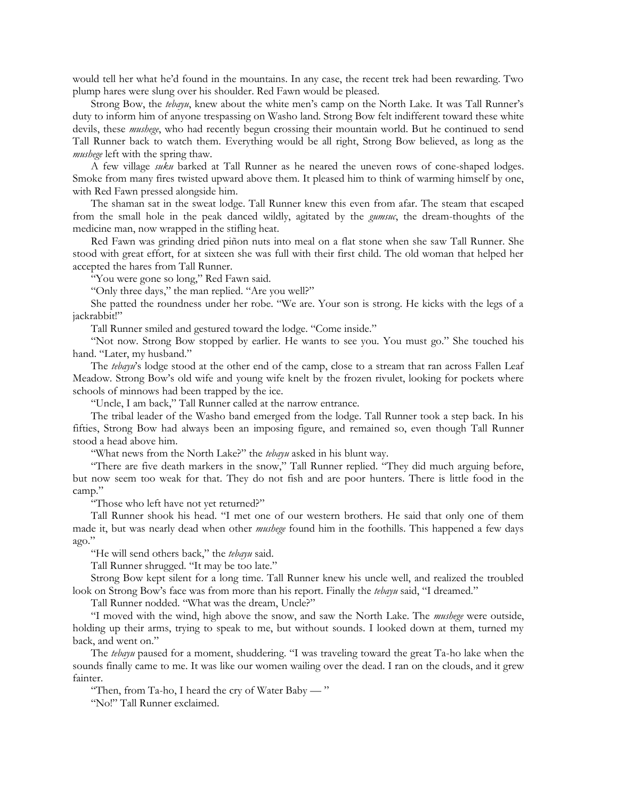would tell her what he'd found in the mountains. In any case, the recent trek had been rewarding. Two plump hares were slung over his shoulder. Red Fawn would be pleased.

Strong Bow, the *tebayu*, knew about the white men's camp on the North Lake. It was Tall Runner's duty to inform him of anyone trespassing on Washo land. Strong Bow felt indifferent toward these white devils, these *mushege*, who had recently begun crossing their mountain world. But he continued to send Tall Runner back to watch them. Everything would be all right, Strong Bow believed, as long as the *mushege* left with the spring thaw.

A few village *suku* barked at Tall Runner as he neared the uneven rows of cone-shaped lodges. Smoke from many fires twisted upward above them. It pleased him to think of warming himself by one, with Red Fawn pressed alongside him.

The shaman sat in the sweat lodge. Tall Runner knew this even from afar. The steam that escaped from the small hole in the peak danced wildly, agitated by the *gumsuc*, the dream-thoughts of the medicine man, now wrapped in the stifling heat.

Red Fawn was grinding dried piñon nuts into meal on a flat stone when she saw Tall Runner. She stood with great effort, for at sixteen she was full with their first child. The old woman that helped her accepted the hares from Tall Runner.

"You were gone so long," Red Fawn said.

"Only three days," the man replied. "Are you well?"

She patted the roundness under her robe. "We are. Your son is strong. He kicks with the legs of a jackrabbit!"

Tall Runner smiled and gestured toward the lodge. "Come inside."

"Not now. Strong Bow stopped by earlier. He wants to see you. You must go." She touched his hand. "Later, my husband."

The *tebayu*'s lodge stood at the other end of the camp, close to a stream that ran across Fallen Leaf Meadow. Strong Bow's old wife and young wife knelt by the frozen rivulet, looking for pockets where schools of minnows had been trapped by the ice.

"Uncle, I am back," Tall Runner called at the narrow entrance.

The tribal leader of the Washo band emerged from the lodge. Tall Runner took a step back. In his fifties, Strong Bow had always been an imposing figure, and remained so, even though Tall Runner stood a head above him.

"What news from the North Lake?" the *tebayu* asked in his blunt way.

"There are five death markers in the snow," Tall Runner replied. "They did much arguing before, but now seem too weak for that. They do not fish and are poor hunters. There is little food in the camp."

"Those who left have not yet returned?"

Tall Runner shook his head. "I met one of our western brothers. He said that only one of them made it, but was nearly dead when other *mushege* found him in the foothills. This happened a few days ago."

"He will send others back," the *tebayu* said.

Tall Runner shrugged. "It may be too late."

Strong Bow kept silent for a long time. Tall Runner knew his uncle well, and realized the troubled look on Strong Bow's face was from more than his report. Finally the *tebayu* said, "I dreamed."

Tall Runner nodded. "What was the dream, Uncle?"

"I moved with the wind, high above the snow, and saw the North Lake. The *mushege* were outside, holding up their arms, trying to speak to me, but without sounds. I looked down at them, turned my back, and went on."

The *tebayu* paused for a moment, shuddering. "I was traveling toward the great Ta-ho lake when the sounds finally came to me. It was like our women wailing over the dead. I ran on the clouds, and it grew fainter.

"Then, from Ta-ho, I heard the cry of Water Baby — "

"No!" Tall Runner exclaimed.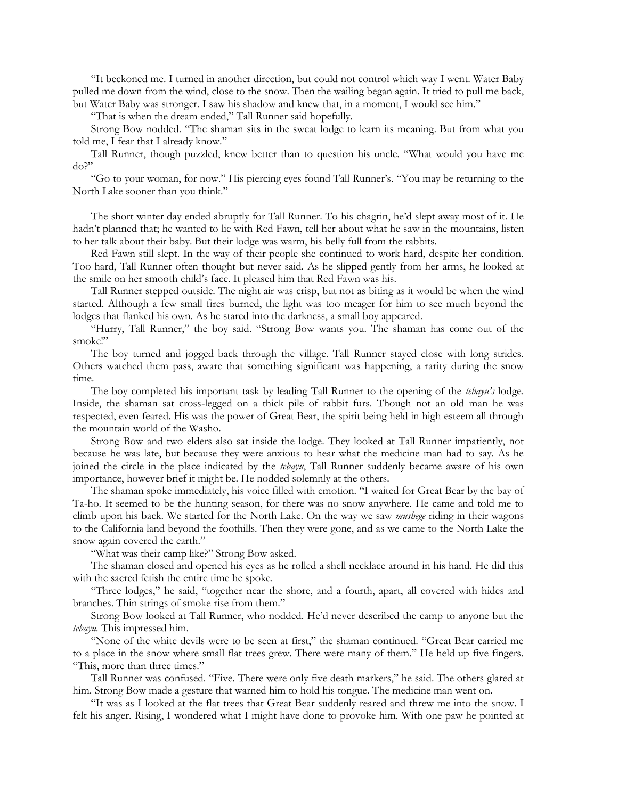"It beckoned me. I turned in another direction, but could not control which way I went. Water Baby pulled me down from the wind, close to the snow. Then the wailing began again. It tried to pull me back, but Water Baby was stronger. I saw his shadow and knew that, in a moment, I would see him."

"That is when the dream ended," Tall Runner said hopefully.

Strong Bow nodded. "The shaman sits in the sweat lodge to learn its meaning. But from what you told me, I fear that I already know."

Tall Runner, though puzzled, knew better than to question his uncle. "What would you have me do?"

"Go to your woman, for now." His piercing eyes found Tall Runner's. "You may be returning to the North Lake sooner than you think."

The short winter day ended abruptly for Tall Runner. To his chagrin, he'd slept away most of it. He hadn't planned that; he wanted to lie with Red Fawn, tell her about what he saw in the mountains, listen to her talk about their baby. But their lodge was warm, his belly full from the rabbits.

Red Fawn still slept. In the way of their people she continued to work hard, despite her condition. Too hard, Tall Runner often thought but never said. As he slipped gently from her arms, he looked at the smile on her smooth child's face. It pleased him that Red Fawn was his.

Tall Runner stepped outside. The night air was crisp, but not as biting as it would be when the wind started. Although a few small fires burned, the light was too meager for him to see much beyond the lodges that flanked his own. As he stared into the darkness, a small boy appeared.

"Hurry, Tall Runner," the boy said. "Strong Bow wants you. The shaman has come out of the smoke!"

The boy turned and jogged back through the village. Tall Runner stayed close with long strides. Others watched them pass, aware that something significant was happening, a rarity during the snow time.

The boy completed his important task by leading Tall Runner to the opening of the *tebayu's* lodge. Inside, the shaman sat cross-legged on a thick pile of rabbit furs. Though not an old man he was respected, even feared. His was the power of Great Bear, the spirit being held in high esteem all through the mountain world of the Washo.

Strong Bow and two elders also sat inside the lodge. They looked at Tall Runner impatiently, not because he was late, but because they were anxious to hear what the medicine man had to say. As he joined the circle in the place indicated by the *tebayu*, Tall Runner suddenly became aware of his own importance, however brief it might be. He nodded solemnly at the others.

The shaman spoke immediately, his voice filled with emotion. "I waited for Great Bear by the bay of Ta-ho. It seemed to be the hunting season, for there was no snow anywhere. He came and told me to climb upon his back. We started for the North Lake. On the way we saw *mushege* riding in their wagons to the California land beyond the foothills. Then they were gone, and as we came to the North Lake the snow again covered the earth."

"What was their camp like?" Strong Bow asked.

The shaman closed and opened his eyes as he rolled a shell necklace around in his hand. He did this with the sacred fetish the entire time he spoke.

"Three lodges," he said, "together near the shore, and a fourth, apart, all covered with hides and branches. Thin strings of smoke rise from them."

Strong Bow looked at Tall Runner, who nodded. He'd never described the camp to anyone but the *tebayu.* This impressed him.

"None of the white devils were to be seen at first," the shaman continued. "Great Bear carried me to a place in the snow where small flat trees grew. There were many of them." He held up five fingers. "This, more than three times."

Tall Runner was confused. "Five. There were only five death markers," he said. The others glared at him. Strong Bow made a gesture that warned him to hold his tongue. The medicine man went on.

"It was as I looked at the flat trees that Great Bear suddenly reared and threw me into the snow. I felt his anger. Rising, I wondered what I might have done to provoke him. With one paw he pointed at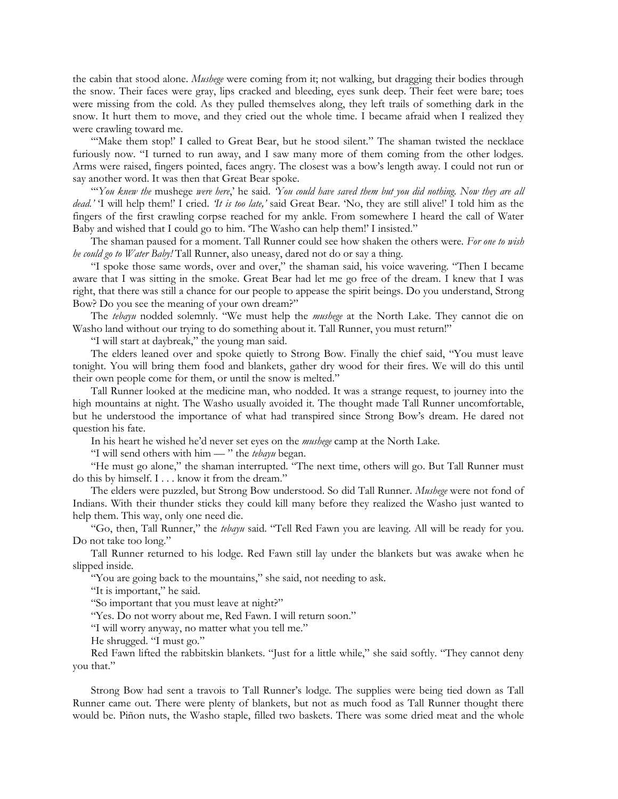the cabin that stood alone. *Mushege* were coming from it; not walking, but dragging their bodies through the snow. Their faces were gray, lips cracked and bleeding, eyes sunk deep. Their feet were bare; toes were missing from the cold. As they pulled themselves along, they left trails of something dark in the snow. It hurt them to move, and they cried out the whole time. I became afraid when I realized they were crawling toward me.

"'Make them stop!' I called to Great Bear, but he stood silent." The shaman twisted the necklace furiously now. "I turned to run away, and I saw many more of them coming from the other lodges. Arms were raised, fingers pointed, faces angry. The closest was a bow's length away. I could not run or say another word. It was then that Great Bear spoke.

"'*You knew the* mushege *were here*,' he said. *'You could have saved them but you did nothing. Now they are all dead.'* 'I will help them!' I cried. *'It is too late,'* said Great Bear. 'No, they are still alive!' I told him as the fingers of the first crawling corpse reached for my ankle. From somewhere I heard the call of Water Baby and wished that I could go to him. The Washo can help them!' I insisted."

The shaman paused for a moment. Tall Runner could see how shaken the others were. *For one to wish he could go to Water Baby!* Tall Runner, also uneasy, dared not do or say a thing.

"I spoke those same words, over and over," the shaman said, his voice wavering. "Then I became aware that I was sitting in the smoke. Great Bear had let me go free of the dream. I knew that I was right, that there was still a chance for our people to appease the spirit beings. Do you understand, Strong Bow? Do you see the meaning of your own dream?"

The *tebayu* nodded solemnly. "We must help the *mushege* at the North Lake. They cannot die on Washo land without our trying to do something about it. Tall Runner, you must return!"

"I will start at daybreak," the young man said.

The elders leaned over and spoke quietly to Strong Bow. Finally the chief said, "You must leave tonight. You will bring them food and blankets, gather dry wood for their fires. We will do this until their own people come for them, or until the snow is melted."

Tall Runner looked at the medicine man, who nodded. It was a strange request, to journey into the high mountains at night. The Washo usually avoided it. The thought made Tall Runner uncomfortable, but he understood the importance of what had transpired since Strong Bow's dream. He dared not question his fate.

In his heart he wished he'd never set eyes on the *mushege* camp at the North Lake.

"I will send others with him — " the *tebayu* began.

"He must go alone," the shaman interrupted. "The next time, others will go. But Tall Runner must do this by himself. I . . . know it from the dream."

The elders were puzzled, but Strong Bow understood. So did Tall Runner. *Mushege* were not fond of Indians. With their thunder sticks they could kill many before they realized the Washo just wanted to help them. This way, only one need die.

"Go, then, Tall Runner," the *tebayu* said. "Tell Red Fawn you are leaving. All will be ready for you. Do not take too long."

Tall Runner returned to his lodge. Red Fawn still lay under the blankets but was awake when he slipped inside.

"You are going back to the mountains," she said, not needing to ask.

"It is important," he said.

"So important that you must leave at night?"

"Yes. Do not worry about me, Red Fawn. I will return soon."

"I will worry anyway, no matter what you tell me."

He shrugged. "I must go."

Red Fawn lifted the rabbitskin blankets. "Just for a little while," she said softly. "They cannot deny you that."

Strong Bow had sent a travois to Tall Runner's lodge. The supplies were being tied down as Tall Runner came out. There were plenty of blankets, but not as much food as Tall Runner thought there would be. Piñon nuts, the Washo staple, filled two baskets. There was some dried meat and the whole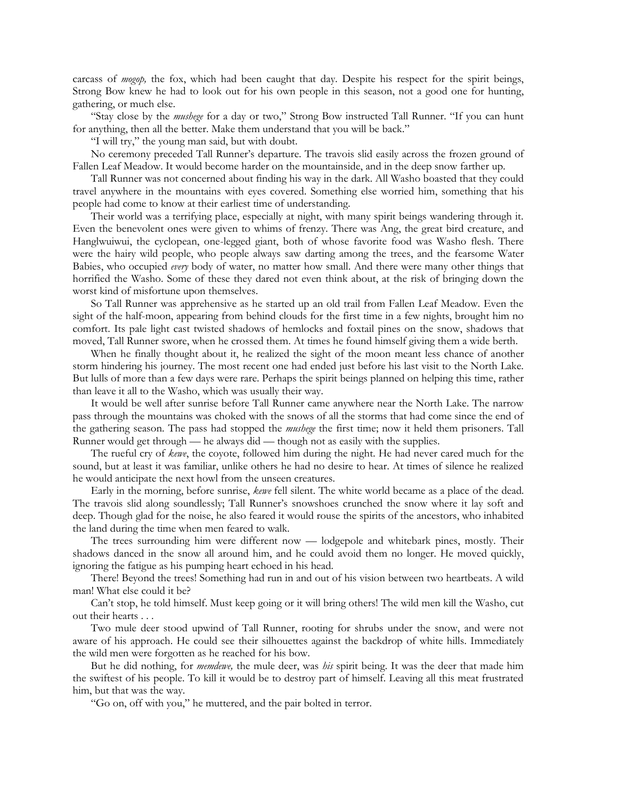carcass of *mogop,* the fox, which had been caught that day. Despite his respect for the spirit beings, Strong Bow knew he had to look out for his own people in this season, not a good one for hunting, gathering, or much else.

"Stay close by the *mushege* for a day or two," Strong Bow instructed Tall Runner. "If you can hunt for anything, then all the better. Make them understand that you will be back."

"I will try," the young man said, but with doubt.

No ceremony preceded Tall Runner's departure. The travois slid easily across the frozen ground of Fallen Leaf Meadow. It would become harder on the mountainside, and in the deep snow farther up.

Tall Runner was not concerned about finding his way in the dark. All Washo boasted that they could travel anywhere in the mountains with eyes covered. Something else worried him, something that his people had come to know at their earliest time of understanding.

Their world was a terrifying place, especially at night, with many spirit beings wandering through it. Even the benevolent ones were given to whims of frenzy. There was Ang, the great bird creature, and Hanglwuiwui, the cyclopean, one-legged giant, both of whose favorite food was Washo flesh. There were the hairy wild people, who people always saw darting among the trees, and the fearsome Water Babies, who occupied *every* body of water, no matter how small. And there were many other things that horrified the Washo. Some of these they dared not even think about, at the risk of bringing down the worst kind of misfortune upon themselves.

So Tall Runner was apprehensive as he started up an old trail from Fallen Leaf Meadow. Even the sight of the half-moon, appearing from behind clouds for the first time in a few nights, brought him no comfort. Its pale light cast twisted shadows of hemlocks and foxtail pines on the snow, shadows that moved, Tall Runner swore, when he crossed them. At times he found himself giving them a wide berth.

When he finally thought about it, he realized the sight of the moon meant less chance of another storm hindering his journey. The most recent one had ended just before his last visit to the North Lake. But lulls of more than a few days were rare. Perhaps the spirit beings planned on helping this time, rather than leave it all to the Washo, which was usually their way.

It would be well after sunrise before Tall Runner came anywhere near the North Lake. The narrow pass through the mountains was choked with the snows of all the storms that had come since the end of the gathering season. The pass had stopped the *mushege* the first time; now it held them prisoners. Tall Runner would get through — he always did — though not as easily with the supplies.

The rueful cry of *kewe*, the coyote, followed him during the night. He had never cared much for the sound, but at least it was familiar, unlike others he had no desire to hear. At times of silence he realized he would anticipate the next howl from the unseen creatures.

Early in the morning, before sunrise, *kewe* fell silent. The white world became as a place of the dead. The travois slid along soundlessly; Tall Runner's snowshoes crunched the snow where it lay soft and deep. Though glad for the noise, he also feared it would rouse the spirits of the ancestors, who inhabited the land during the time when men feared to walk.

The trees surrounding him were different now — lodgepole and whitebark pines, mostly. Their shadows danced in the snow all around him, and he could avoid them no longer. He moved quickly, ignoring the fatigue as his pumping heart echoed in his head.

There! Beyond the trees! Something had run in and out of his vision between two heartbeats. A wild man! What else could it be?

Can't stop, he told himself. Must keep going or it will bring others! The wild men kill the Washo, cut out their hearts . . .

Two mule deer stood upwind of Tall Runner, rooting for shrubs under the snow, and were not aware of his approach. He could see their silhouettes against the backdrop of white hills. Immediately the wild men were forgotten as he reached for his bow.

But he did nothing, for *memdewe,* the mule deer, was *his* spirit being. It was the deer that made him the swiftest of his people. To kill it would be to destroy part of himself. Leaving all this meat frustrated him, but that was the way.

"Go on, off with you," he muttered, and the pair bolted in terror.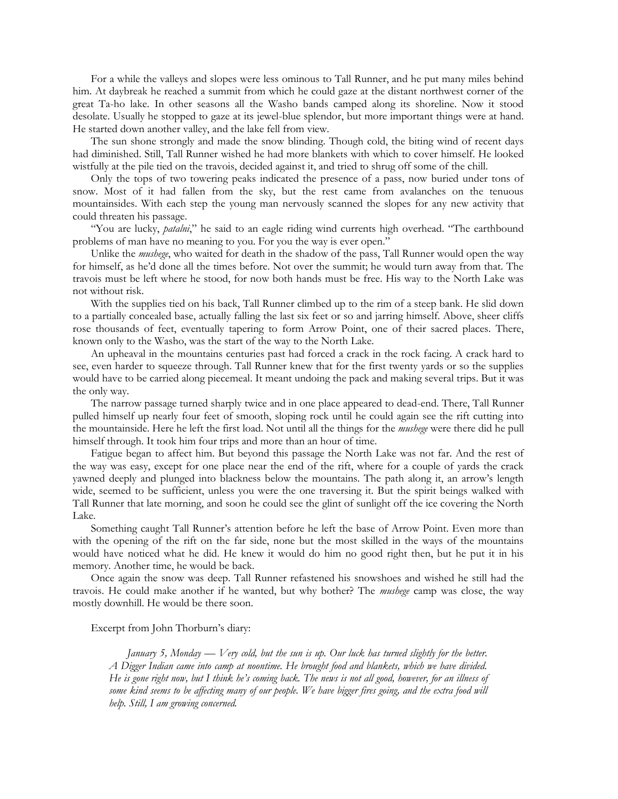For a while the valleys and slopes were less ominous to Tall Runner, and he put many miles behind him. At daybreak he reached a summit from which he could gaze at the distant northwest corner of the great Ta-ho lake. In other seasons all the Washo bands camped along its shoreline. Now it stood desolate. Usually he stopped to gaze at its jewel-blue splendor, but more important things were at hand. He started down another valley, and the lake fell from view.

The sun shone strongly and made the snow blinding. Though cold, the biting wind of recent days had diminished. Still, Tall Runner wished he had more blankets with which to cover himself. He looked wistfully at the pile tied on the travois, decided against it, and tried to shrug off some of the chill.

Only the tops of two towering peaks indicated the presence of a pass, now buried under tons of snow. Most of it had fallen from the sky, but the rest came from avalanches on the tenuous mountainsides. With each step the young man nervously scanned the slopes for any new activity that could threaten his passage.

"You are lucky, *patalni*," he said to an eagle riding wind currents high overhead. "The earthbound problems of man have no meaning to you. For you the way is ever open."

Unlike the *mushege*, who waited for death in the shadow of the pass, Tall Runner would open the way for himself, as he'd done all the times before. Not over the summit; he would turn away from that. The travois must be left where he stood, for now both hands must be free. His way to the North Lake was not without risk.

With the supplies tied on his back, Tall Runner climbed up to the rim of a steep bank. He slid down to a partially concealed base, actually falling the last six feet or so and jarring himself. Above, sheer cliffs rose thousands of feet, eventually tapering to form Arrow Point, one of their sacred places. There, known only to the Washo, was the start of the way to the North Lake.

An upheaval in the mountains centuries past had forced a crack in the rock facing. A crack hard to see, even harder to squeeze through. Tall Runner knew that for the first twenty yards or so the supplies would have to be carried along piecemeal. It meant undoing the pack and making several trips. But it was the only way.

The narrow passage turned sharply twice and in one place appeared to dead-end. There, Tall Runner pulled himself up nearly four feet of smooth, sloping rock until he could again see the rift cutting into the mountainside. Here he left the first load. Not until all the things for the *mushege* were there did he pull himself through. It took him four trips and more than an hour of time.

Fatigue began to affect him. But beyond this passage the North Lake was not far. And the rest of the way was easy, except for one place near the end of the rift, where for a couple of yards the crack yawned deeply and plunged into blackness below the mountains. The path along it, an arrow's length wide, seemed to be sufficient, unless you were the one traversing it. But the spirit beings walked with Tall Runner that late morning, and soon he could see the glint of sunlight off the ice covering the North Lake.

Something caught Tall Runner's attention before he left the base of Arrow Point. Even more than with the opening of the rift on the far side, none but the most skilled in the ways of the mountains would have noticed what he did. He knew it would do him no good right then, but he put it in his memory. Another time, he would be back.

Once again the snow was deep. Tall Runner refastened his snowshoes and wished he still had the travois. He could make another if he wanted, but why bother? The *mushege* camp was close, the way mostly downhill. He would be there soon.

Excerpt from John Thorburn's diary:

*January 5, Monday — Very cold, but the sun is up. Our luck has turned slightly for the better. A Digger Indian came into camp at noontime. He brought food and blankets, which we have divided. He is gone right now, but I think he's coming back. The news is not all good, however, for an illness of*  some kind seems to be affecting many of our people. We have bigger fires going, and the extra food will *help. Still, I am growing concerned.*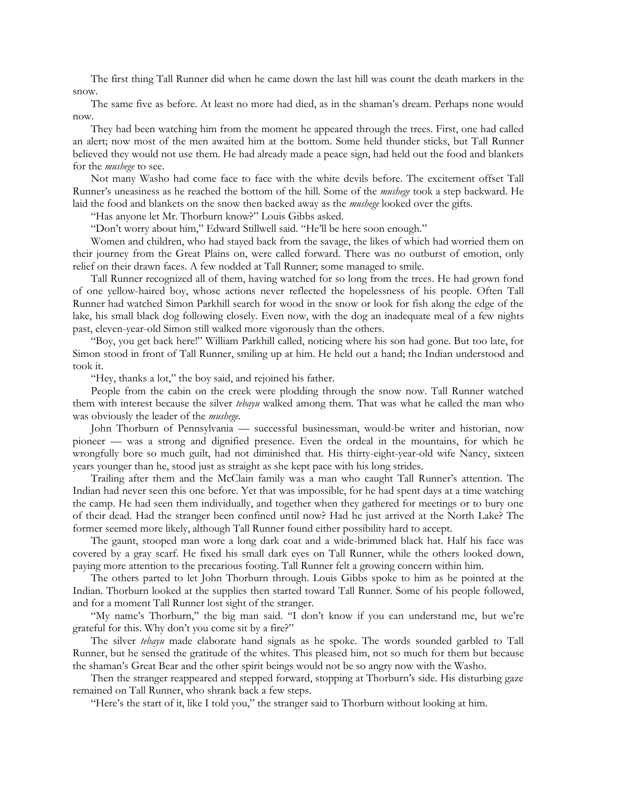The first thing Tall Runner did when he came down the last hill was count the death markers in the snow.

The same five as before. At least no more had died, as in the shaman's dream. Perhaps none would now.

They had been watching him from the moment he appeared through the trees. First, one had called an alert; now most of the men awaited him at the bottom. Some held thunder sticks, but Tall Runner believed they would not use them. He had already made a peace sign, had held out the food and blankets for the *mushege* to see.

Not many Washo had come face to face with the white devils before. The excitement offset Tall Runner's uneasiness as he reached the bottom of the hill. Some of the *mushege* took a step backward. He laid the food and blankets on the snow then backed away as the *mushege* looked over the gifts.

"Has anyone let Mr. Thorburn know?" Louis Gibbs asked.

"Don't worry about him," Edward Stillwell said. "He'll be here soon enough."

Women and children, who had stayed back from the savage, the likes of which had worried them on their journey from the Great Plains on, were called forward. There was no outburst of emotion, only relief on their drawn faces. A few nodded at Tall Runner; some managed to smile.

Tall Runner recognized all of them, having watched for so long from the trees. He had grown fond of one yellow-haired boy, whose actions never reflected the hopelessness of his people. Often Tall Runner had watched Simon Parkhill search for wood in the snow or look for fish along the edge of the lake, his small black dog following closely. Even now, with the dog an inadequate meal of a few nights past, eleven-year-old Simon still walked more vigorously than the others.

"Boy, you get back here!" William Parkhill called, noticing where his son had gone. But too late, for Simon stood in front of Tall Runner, smiling up at him. He held out a hand; the Indian understood and took it.

"Hey, thanks a lot," the boy said, and rejoined his father.

People from the cabin on the creek were plodding through the snow now. Tall Runner watched them with interest because the silver *tebayu* walked among them. That was what he called the man who was obviously the leader of the *mushege.*

John Thorburn of Pennsylvania — successful businessman, would-be writer and historian, now pioneer — was a strong and dignified presence. Even the ordeal in the mountains, for which he wrongfully bore so much guilt, had not diminished that. His thirty-eight-year-old wife Nancy, sixteen years younger than he, stood just as straight as she kept pace with his long strides.

Trailing after them and the McClain family was a man who caught Tall Runner's attention. The Indian had never seen this one before. Yet that was impossible, for he had spent days at a time watching the camp. He had seen them individually, and together when they gathered for meetings or to bury one of their dead. Had the stranger been confined until now? Had he just arrived at the North Lake? The former seemed more likely, although Tall Runner found either possibility hard to accept.

The gaunt, stooped man wore a long dark coat and a wide-brimmed black hat. Half his face was covered by a gray scarf. He fixed his small dark eyes on Tall Runner, while the others looked down, paying more attention to the precarious footing. Tall Runner felt a growing concern within him.

The others parted to let John Thorburn through. Louis Gibbs spoke to him as he pointed at the Indian. Thorburn looked at the supplies then started toward Tall Runner. Some of his people followed, and for a moment Tall Runner lost sight of the stranger.

"My name's Thorburn," the big man said. "I don't know if you can understand me, but we're grateful for this. Why don't you come sit by a fire?"

The silver *tebayu* made elaborate hand signals as he spoke. The words sounded garbled to Tall Runner, but he sensed the gratitude of the whites. This pleased him, not so much for them but because the shaman's Great Bear and the other spirit beings would not be so angry now with the Washo.

Then the stranger reappeared and stepped forward, stopping at Thorburn's side. His disturbing gaze remained on Tall Runner, who shrank back a few steps.

"Here's the start of it, like I told you," the stranger said to Thorburn without looking at him.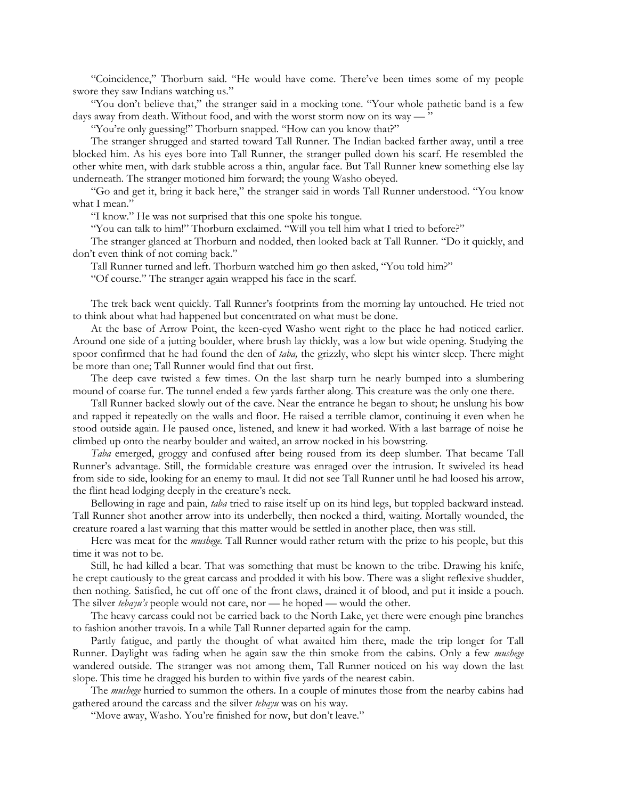"Coincidence," Thorburn said. "He would have come. There've been times some of my people swore they saw Indians watching us."

"You don't believe that," the stranger said in a mocking tone. "Your whole pathetic band is a few days away from death. Without food, and with the worst storm now on its way —

"You're only guessing!" Thorburn snapped. "How can you know that?"

The stranger shrugged and started toward Tall Runner. The Indian backed farther away, until a tree blocked him. As his eyes bore into Tall Runner, the stranger pulled down his scarf. He resembled the other white men, with dark stubble across a thin, angular face. But Tall Runner knew something else lay underneath. The stranger motioned him forward; the young Washo obeyed.

"Go and get it, bring it back here," the stranger said in words Tall Runner understood. "You know what I mean."

"I know." He was not surprised that this one spoke his tongue.

"You can talk to him!" Thorburn exclaimed. "Will you tell him what I tried to before?"

The stranger glanced at Thorburn and nodded, then looked back at Tall Runner. "Do it quickly, and don't even think of not coming back."

Tall Runner turned and left. Thorburn watched him go then asked, "You told him?"

"Of course." The stranger again wrapped his face in the scarf.

The trek back went quickly. Tall Runner's footprints from the morning lay untouched. He tried not to think about what had happened but concentrated on what must be done.

At the base of Arrow Point, the keen-eyed Washo went right to the place he had noticed earlier. Around one side of a jutting boulder, where brush lay thickly, was a low but wide opening. Studying the spoor confirmed that he had found the den of *taba,* the grizzly, who slept his winter sleep. There might be more than one; Tall Runner would find that out first.

The deep cave twisted a few times. On the last sharp turn he nearly bumped into a slumbering mound of coarse fur. The tunnel ended a few yards farther along. This creature was the only one there.

Tall Runner backed slowly out of the cave. Near the entrance he began to shout; he unslung his bow and rapped it repeatedly on the walls and floor. He raised a terrible clamor, continuing it even when he stood outside again. He paused once, listened, and knew it had worked. With a last barrage of noise he climbed up onto the nearby boulder and waited, an arrow nocked in his bowstring.

*Taba* emerged, groggy and confused after being roused from its deep slumber. That became Tall Runner's advantage. Still, the formidable creature was enraged over the intrusion. It swiveled its head from side to side, looking for an enemy to maul. It did not see Tall Runner until he had loosed his arrow, the flint head lodging deeply in the creature's neck.

Bellowing in rage and pain, *taba* tried to raise itself up on its hind legs, but toppled backward instead. Tall Runner shot another arrow into its underbelly, then nocked a third, waiting. Mortally wounded, the creature roared a last warning that this matter would be settled in another place, then was still.

Here was meat for the *mushege.* Tall Runner would rather return with the prize to his people, but this time it was not to be.

Still, he had killed a bear. That was something that must be known to the tribe. Drawing his knife, he crept cautiously to the great carcass and prodded it with his bow. There was a slight reflexive shudder, then nothing. Satisfied, he cut off one of the front claws, drained it of blood, and put it inside a pouch. The silver *tebayu's* people would not care, nor — he hoped — would the other.

The heavy carcass could not be carried back to the North Lake, yet there were enough pine branches to fashion another travois. In a while Tall Runner departed again for the camp.

Partly fatigue, and partly the thought of what awaited him there, made the trip longer for Tall Runner. Daylight was fading when he again saw the thin smoke from the cabins. Only a few *mushege* wandered outside. The stranger was not among them, Tall Runner noticed on his way down the last slope. This time he dragged his burden to within five yards of the nearest cabin.

The *mushege* hurried to summon the others. In a couple of minutes those from the nearby cabins had gathered around the carcass and the silver *tebayu* was on his way.

"Move away, Washo. You're finished for now, but don't leave."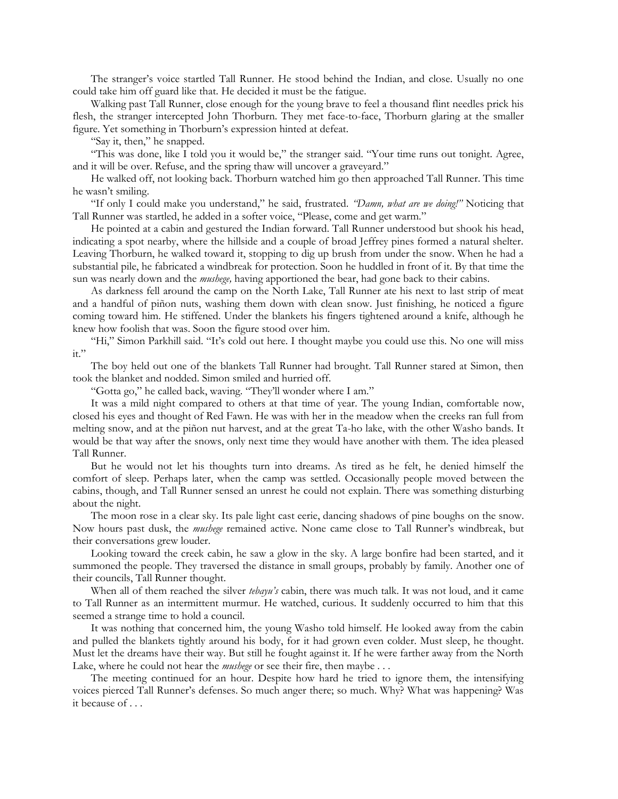The stranger's voice startled Tall Runner. He stood behind the Indian, and close. Usually no one could take him off guard like that. He decided it must be the fatigue.

Walking past Tall Runner, close enough for the young brave to feel a thousand flint needles prick his flesh, the stranger intercepted John Thorburn. They met face-to-face, Thorburn glaring at the smaller figure. Yet something in Thorburn's expression hinted at defeat.

"Say it, then," he snapped.

"This was done, like I told you it would be," the stranger said. "Your time runs out tonight. Agree, and it will be over. Refuse, and the spring thaw will uncover a graveyard."

He walked off, not looking back. Thorburn watched him go then approached Tall Runner. This time he wasn't smiling.

"If only I could make you understand," he said, frustrated. *"Damn, what are we doing!"* Noticing that Tall Runner was startled, he added in a softer voice, "Please, come and get warm."

He pointed at a cabin and gestured the Indian forward. Tall Runner understood but shook his head, indicating a spot nearby, where the hillside and a couple of broad Jeffrey pines formed a natural shelter. Leaving Thorburn, he walked toward it, stopping to dig up brush from under the snow. When he had a substantial pile, he fabricated a windbreak for protection. Soon he huddled in front of it. By that time the sun was nearly down and the *mushege,* having apportioned the bear, had gone back to their cabins.

As darkness fell around the camp on the North Lake, Tall Runner ate his next to last strip of meat and a handful of piñon nuts, washing them down with clean snow. Just finishing, he noticed a figure coming toward him. He stiffened. Under the blankets his fingers tightened around a knife, although he knew how foolish that was. Soon the figure stood over him.

"Hi," Simon Parkhill said. "It's cold out here. I thought maybe you could use this. No one will miss it."

The boy held out one of the blankets Tall Runner had brought. Tall Runner stared at Simon, then took the blanket and nodded. Simon smiled and hurried off.

"Gotta go," he called back, waving. "They'll wonder where I am."

It was a mild night compared to others at that time of year. The young Indian, comfortable now, closed his eyes and thought of Red Fawn. He was with her in the meadow when the creeks ran full from melting snow, and at the piñon nut harvest, and at the great Ta-ho lake, with the other Washo bands. It would be that way after the snows, only next time they would have another with them. The idea pleased Tall Runner.

But he would not let his thoughts turn into dreams. As tired as he felt, he denied himself the comfort of sleep. Perhaps later, when the camp was settled. Occasionally people moved between the cabins, though, and Tall Runner sensed an unrest he could not explain. There was something disturbing about the night.

The moon rose in a clear sky. Its pale light cast eerie, dancing shadows of pine boughs on the snow. Now hours past dusk, the *mushege* remained active. None came close to Tall Runner's windbreak, but their conversations grew louder.

Looking toward the creek cabin, he saw a glow in the sky. A large bonfire had been started, and it summoned the people. They traversed the distance in small groups, probably by family. Another one of their councils, Tall Runner thought.

When all of them reached the silver *tebayu's* cabin, there was much talk. It was not loud, and it came to Tall Runner as an intermittent murmur. He watched, curious. It suddenly occurred to him that this seemed a strange time to hold a council.

It was nothing that concerned him, the young Washo told himself. He looked away from the cabin and pulled the blankets tightly around his body, for it had grown even colder. Must sleep, he thought. Must let the dreams have their way. But still he fought against it. If he were farther away from the North Lake, where he could not hear the *mushege* or see their fire, then maybe . . .

The meeting continued for an hour. Despite how hard he tried to ignore them, the intensifying voices pierced Tall Runner's defenses. So much anger there; so much. Why? What was happening? Was it because of . . .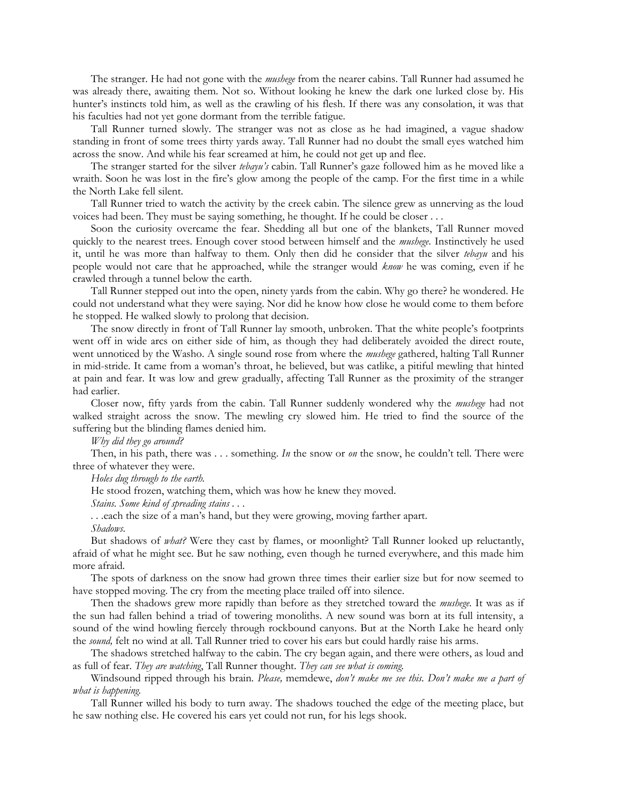The stranger. He had not gone with the *mushege* from the nearer cabins. Tall Runner had assumed he was already there, awaiting them. Not so. Without looking he knew the dark one lurked close by. His hunter's instincts told him, as well as the crawling of his flesh. If there was any consolation, it was that his faculties had not yet gone dormant from the terrible fatigue.

Tall Runner turned slowly. The stranger was not as close as he had imagined, a vague shadow standing in front of some trees thirty yards away. Tall Runner had no doubt the small eyes watched him across the snow. And while his fear screamed at him, he could not get up and flee.

The stranger started for the silver *tebayu's* cabin. Tall Runner's gaze followed him as he moved like a wraith. Soon he was lost in the fire's glow among the people of the camp. For the first time in a while the North Lake fell silent.

Tall Runner tried to watch the activity by the creek cabin. The silence grew as unnerving as the loud voices had been. They must be saying something, he thought. If he could be closer . . .

Soon the curiosity overcame the fear. Shedding all but one of the blankets, Tall Runner moved quickly to the nearest trees. Enough cover stood between himself and the *mushege.* Instinctively he used it, until he was more than halfway to them. Only then did he consider that the silver *tebayu* and his people would not care that he approached, while the stranger would *know* he was coming, even if he crawled through a tunnel below the earth.

Tall Runner stepped out into the open, ninety yards from the cabin. Why go there? he wondered. He could not understand what they were saying. Nor did he know how close he would come to them before he stopped. He walked slowly to prolong that decision.

The snow directly in front of Tall Runner lay smooth, unbroken. That the white people's footprints went off in wide arcs on either side of him, as though they had deliberately avoided the direct route, went unnoticed by the Washo. A single sound rose from where the *mushege* gathered, halting Tall Runner in mid-stride. It came from a woman's throat, he believed, but was catlike, a pitiful mewling that hinted at pain and fear. It was low and grew gradually, affecting Tall Runner as the proximity of the stranger had earlier.

Closer now, fifty yards from the cabin. Tall Runner suddenly wondered why the *mushege* had not walked straight across the snow. The mewling cry slowed him. He tried to find the source of the suffering but the blinding flames denied him.

*Why did they go around?*

Then, in his path, there was . . . something. *In* the snow or *on* the snow, he couldn't tell. There were three of whatever they were.

*Holes dug through to the earth.*

He stood frozen, watching them, which was how he knew they moved.

*Stains. Some kind of spreading stains . . .*

*. . .*each the size of a man's hand, but they were growing, moving farther apart.

*Shadows.*

But shadows of *what?* Were they cast by flames, or moonlight? Tall Runner looked up reluctantly, afraid of what he might see. But he saw nothing, even though he turned everywhere, and this made him more afraid.

The spots of darkness on the snow had grown three times their earlier size but for now seemed to have stopped moving. The cry from the meeting place trailed off into silence.

Then the shadows grew more rapidly than before as they stretched toward the *mushege.* It was as if the sun had fallen behind a triad of towering monoliths. A new sound was born at its full intensity, a sound of the wind howling fiercely through rockbound canyons. But at the North Lake he heard only the *sound,* felt no wind at all. Tall Runner tried to cover his ears but could hardly raise his arms.

The shadows stretched halfway to the cabin. The cry began again, and there were others, as loud and as full of fear. *They are watching*, Tall Runner thought. *They can see what is coming.*

Windsound ripped through his brain. *Please,* memdewe, *don't make me see this. Don't make me a part of what is happening.*

Tall Runner willed his body to turn away. The shadows touched the edge of the meeting place, but he saw nothing else. He covered his ears yet could not run, for his legs shook.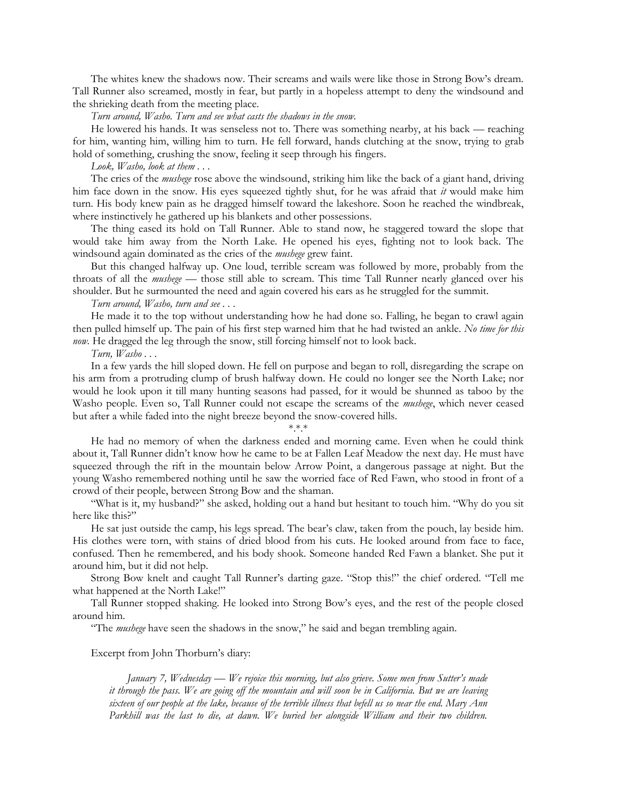The whites knew the shadows now. Their screams and wails were like those in Strong Bow's dream. Tall Runner also screamed, mostly in fear, but partly in a hopeless attempt to deny the windsound and the shrieking death from the meeting place.

*Turn around, Washo. Turn and see what casts the shadows in the snow.*

He lowered his hands. It was senseless not to. There was something nearby, at his back — reaching for him, wanting him, willing him to turn. He fell forward, hands clutching at the snow, trying to grab hold of something, crushing the snow, feeling it seep through his fingers.

*Look, Washo, look at them . . .*

The cries of the *mushege* rose above the windsound, striking him like the back of a giant hand, driving him face down in the snow. His eyes squeezed tightly shut, for he was afraid that *it* would make him turn. His body knew pain as he dragged himself toward the lakeshore. Soon he reached the windbreak, where instinctively he gathered up his blankets and other possessions.

The thing eased its hold on Tall Runner. Able to stand now, he staggered toward the slope that would take him away from the North Lake. He opened his eyes, fighting not to look back. The windsound again dominated as the cries of the *mushege* grew faint.

But this changed halfway up. One loud, terrible scream was followed by more, probably from the throats of all the *mushege —* those still able to scream. This time Tall Runner nearly glanced over his shoulder. But he surmounted the need and again covered his ears as he struggled for the summit.

*Turn around, Washo, turn and see . . .*

He made it to the top without understanding how he had done so. Falling, he began to crawl again then pulled himself up. The pain of his first step warned him that he had twisted an ankle. *No time for this now.* He dragged the leg through the snow, still forcing himself not to look back.

*Turn, Washo . . .*

In a few yards the hill sloped down. He fell on purpose and began to roll, disregarding the scrape on his arm from a protruding clump of brush halfway down. He could no longer see the North Lake; nor would he look upon it till many hunting seasons had passed, for it would be shunned as taboo by the Washo people. Even so, Tall Runner could not escape the screams of the *mushege*, which never ceased but after a while faded into the night breeze beyond the snow-covered hills.

## $****$

He had no memory of when the darkness ended and morning came. Even when he could think about it, Tall Runner didn't know how he came to be at Fallen Leaf Meadow the next day. He must have squeezed through the rift in the mountain below Arrow Point, a dangerous passage at night. But the young Washo remembered nothing until he saw the worried face of Red Fawn, who stood in front of a crowd of their people, between Strong Bow and the shaman.

"What is it, my husband?" she asked, holding out a hand but hesitant to touch him. "Why do you sit here like this?"

He sat just outside the camp, his legs spread. The bear's claw, taken from the pouch, lay beside him. His clothes were torn, with stains of dried blood from his cuts. He looked around from face to face, confused. Then he remembered, and his body shook. Someone handed Red Fawn a blanket. She put it around him, but it did not help.

Strong Bow knelt and caught Tall Runner's darting gaze. "Stop this!" the chief ordered. "Tell me what happened at the North Lake!"

Tall Runner stopped shaking. He looked into Strong Bow's eyes, and the rest of the people closed around him.

"The *mushege* have seen the shadows in the snow," he said and began trembling again.

Excerpt from John Thorburn's diary:

*January 7, Wednesday — We rejoice this morning, but also grieve. Some men from Sutter's made it through the pass. We are going off the mountain and will soon be in California. But we are leaving sixteen of our people at the lake, because of the terrible illness that befell us so near the end. Mary Ann*  Parkhill was the last to die, at dawn. We buried her alongside William and their two children.